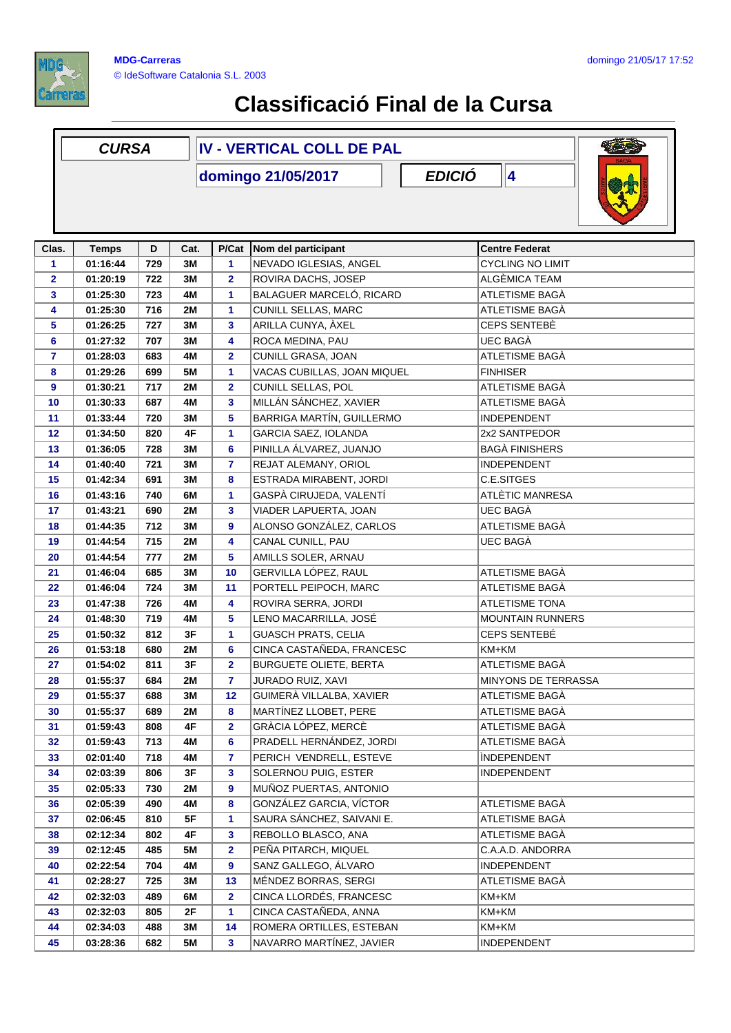

## **Classificació Final de la Cursa**

|                | <b>CURSA</b>                             |     |           | <b>IV - VERTICAL COLL DE PAL</b> |                               |                         |
|----------------|------------------------------------------|-----|-----------|----------------------------------|-------------------------------|-------------------------|
|                | <b>EDICIÓ</b><br>4<br>domingo 21/05/2017 |     |           |                                  |                               |                         |
| Clas.          | <b>Temps</b>                             | D   | Cat.      | P/Cat                            | Nom del participant           | <b>Centre Federat</b>   |
| 1              | 01:16:44                                 | 729 | 3M        | 1                                | NEVADO IGLESIAS, ANGEL        | <b>CYCLING NO LIMIT</b> |
| $\mathbf{2}$   | 01:20:19                                 | 722 | 3M        | $\overline{\mathbf{2}}$          | ROVIRA DACHS, JOSEP           | ALGÈMICA TEAM           |
| 3              | 01:25:30                                 | 723 | 4M        | 1                                | BALAGUER MARCELÓ, RICARD      | ATLETISME BAGÀ          |
| 4              | 01:25:30                                 | 716 | 2M        | 1                                | <b>CUNILL SELLAS, MARC</b>    | ATLETISME BAGÀ          |
| 5              | 01:26:25                                 | 727 | 3M        | 3                                | ARILLA CUNYA, ÀXEL            | <b>CEPS SENTEBE</b>     |
| 6              | 01:27:32                                 | 707 | 3M        | 4                                | ROCA MEDINA, PAU              | UEC BAGÀ                |
| $\overline{7}$ | 01:28:03                                 | 683 | 4M        | $\overline{2}$                   | CUNILL GRASA, JOAN            | ATLETISME BAGÀ          |
| 8              | 01:29:26                                 | 699 | <b>5M</b> | 1                                | VACAS CUBILLAS, JOAN MIQUEL   | <b>FINHISER</b>         |
| 9              | 01:30:21                                 | 717 | 2M        | $\overline{2}$                   | <b>CUNILL SELLAS, POL</b>     | ATLETISME BAGÀ          |
| 10             | 01:30:33                                 | 687 | 4M        | 3                                | MILLÁN SÁNCHEZ, XAVIER        | ATLETISME BAGÀ          |
| 11             | 01:33:44                                 | 720 | 3M        | 5                                | BARRIGA MARTÍN, GUILLERMO     | <b>INDEPENDENT</b>      |
| 12             | 01:34:50                                 | 820 | 4F        | 1                                | GARCIA SAEZ, IOLANDA          | 2x2 SANTPEDOR           |
| 13             | 01:36:05                                 | 728 | 3M        | 6                                | PINILLA ÁLVAREZ, JUANJO       | <b>BAGÀ FINISHERS</b>   |
| 14             | 01:40:40                                 | 721 | 3M        | 7                                | REJAT ALEMANY, ORIOL          | <b>INDEPENDENT</b>      |
| 15             | 01:42:34                                 | 691 | 3M        | 8                                | ESTRADA MIRABENT, JORDI       | C.E.SITGES              |
| 16             | 01:43:16                                 | 740 | 6M        | 1                                | GASPÀ CIRUJEDA, VALENTÍ       | ATLÈTIC MANRESA         |
| 17             | 01:43:21                                 | 690 | 2M        | 3                                | VIADER LAPUERTA, JOAN         | UEC BAGÀ                |
| 18             | 01:44:35                                 | 712 | 3M        | 9                                | ALONSO GONZÁLEZ, CARLOS       | ATLETISME BAGA          |
| 19             | 01:44:54                                 | 715 | 2M        | 4                                | CANAL CUNILL, PAU             | <b>UEC BAGÀ</b>         |
| 20             | 01:44:54                                 | 777 | 2M        | 5                                | AMILLS SOLER, ARNAU           |                         |
| 21             | 01:46:04                                 | 685 | 3M        | 10                               | GERVILLA LÓPEZ, RAUL          | ATLETISME BAGÀ          |
| 22             | 01:46:04                                 | 724 | 3M        | 11                               | PORTELL PEIPOCH, MARC         | ATLETISME BAGÀ          |
| 23             | 01:47:38                                 | 726 | 4M        | 4                                | ROVIRA SERRA, JORDI           | <b>ATLETISME TONA</b>   |
| 24             | 01:48:30                                 | 719 | 4M        | 5                                | LENO MACARRILLA, JOSÉ         | <b>MOUNTAIN RUNNERS</b> |
| 25             | 01:50:32                                 | 812 | 3F        | 1                                | <b>GUASCH PRATS, CELIA</b>    | <b>CEPS SENTEBÉ</b>     |
| 26             | 01:53:18                                 | 680 | 2M        | 6                                | CINCA CASTAÑEDA, FRANCESC     | KM+KM                   |
| 27             | 01:54:02                                 | 811 | 3F        | $\overline{2}$                   | <b>BURGUETE OLIETE, BERTA</b> | ATLETISME BAGÀ          |
| 28             | 01:55:37                                 | 684 | $2M$      | $\overline{7}$                   | JURADO RUIZ, XAVI             | MINYONS DE TERRASSA     |
| 29             | 01:55:37                                 | 688 | 3M        | 12                               | GUIMERÀ VILLALBA, XAVIER      | ATLETISME BAGÀ          |
| 30             | 01:55:37                                 | 689 | 2M        | 8                                | MARTÍNEZ LLOBET, PERE         | ATLETISME BAGÀ          |
| 31             | 01:59:43                                 | 808 | 4F        | $\mathbf{2}$                     | GRÀCIA LÓPEZ, MERCÈ           | ATLETISME BAGÀ          |
| 32             | 01:59:43                                 | 713 | 4M        | 6                                | PRADELL HERNÁNDEZ, JORDI      | ATLETISME BAGÀ          |
| 33             | 02:01:40                                 | 718 | 4M        | 7                                | PERICH VENDRELL, ESTEVE       | <b>INDEPENDENT</b>      |
| 34             | 02:03:39                                 | 806 | 3F        | 3                                | SOLERNOU PUIG, ESTER          | <b>INDEPENDENT</b>      |
| 35             | 02:05:33                                 | 730 | 2M        | 9                                | MUÑOZ PUERTAS, ANTONIO        |                         |
| 36             | 02:05:39                                 | 490 | 4M        | 8                                | GONZÁLEZ GARCIA, VÍCTOR       | ATLETISME BAGÀ          |
| 37             | 02:06:45                                 | 810 | 5F        | 1                                | SAURA SÁNCHEZ, SAIVANI E.     | ATLETISME BAGÀ          |
| 38             | 02:12:34                                 | 802 | 4F        | 3                                | REBOLLO BLASCO, ANA           | ATLETISME BAGÀ          |
| 39             | 02:12:45                                 | 485 | 5M        | $\overline{2}$                   | PEÑA PITARCH, MIQUEL          | C.A.A.D. ANDORRA        |
| 40             | 02:22:54                                 | 704 | 4M        | 9                                | SANZ GALLEGO, ÁLVARO          | <b>INDEPENDENT</b>      |
| 41             | 02:28:27                                 | 725 | 3M        | 13                               | MÉNDEZ BORRAS, SERGI          | ATLETISME BAGÀ          |
| 42             | 02:32:03                                 | 489 | 6M        | $\overline{\mathbf{2}}$          | CINCA LLORDÉS, FRANCESC       | KM+KM                   |
| 43             | 02:32:03                                 | 805 | 2F        | 1                                | CINCA CASTAÑEDA, ANNA         | KM+KM                   |
| 44             | 02:34:03                                 | 488 | 3M        | 14                               | ROMERA ORTILLES, ESTEBAN      | KM+KM                   |
| 45             | 03:28:36                                 | 682 | 5M        | 3                                | NAVARRO MARTÍNEZ, JAVIER      | INDEPENDENT             |